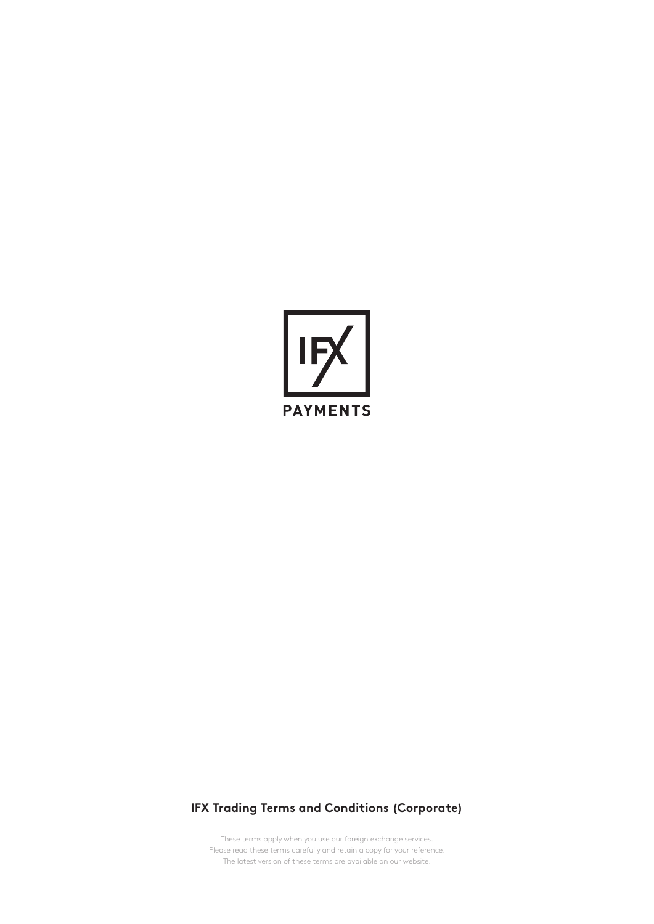

# **IFX Trading Terms and Conditions (Corporate)**

These terms apply when you use our foreign exchange services. Please read these terms carefully and retain a copy for your reference. The latest version of these terms are available on our website.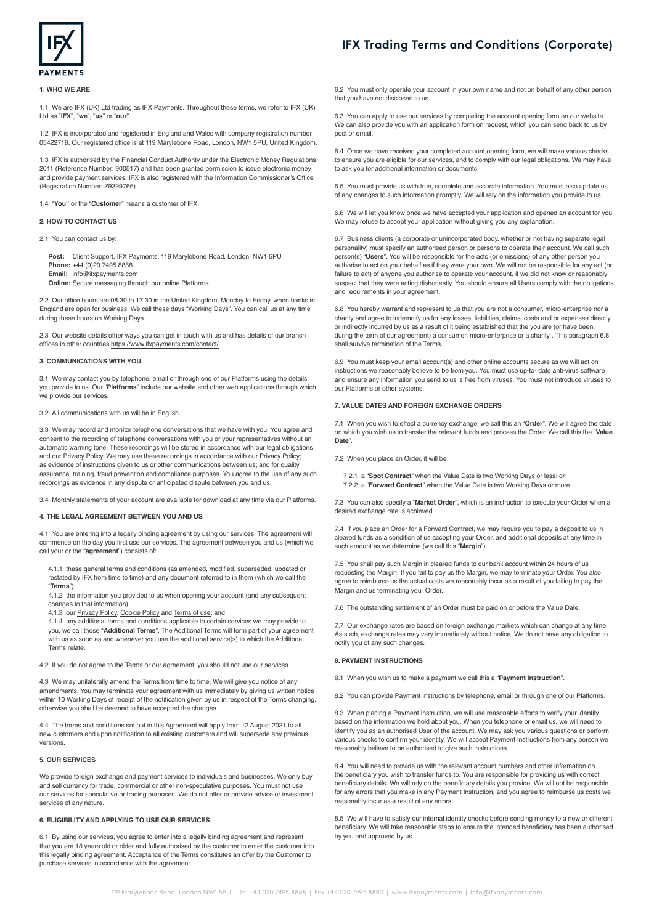

#### **1. WHO WE ARE**

1.1 We are IFX (UK) Ltd trading as IFX Payments. Throughout these terms, we refer to IFX (UK) Ltd as "**IFX**", "**we**", "**us**" or "**our**".

1.2 IFX is incorporated and registered in England and Wales with company registration number 05422718. Our registered office is at 119 Marylebone Road, London, NW1 5PU, United Kingdom.

1.3 IFX is authorised by the Financial Conduct Authority under the Electronic Money Regulations 2011 (Reference Number: 900517) and has been granted permission to issue electronic money and provide payment services. IFX is also registered with the Information Commissioner's Office (Registration Number: Z9399766).

1.4 "**You"** or the "**Customer**" means a customer of IFX.

# **2. HOW TO CONTACT US**

2.1 You can contact us by:

**Post:** Client Support, IFX Payments, 119 Marylebone Road, London, NW1 5PU **Phone:** +44 (0)20 7495 8888 **Email:** [info@ifxpayments.com](mailto:info%40ifxpayments.com?subject=) **Online:** Secure messaging through our online Platforms

2.2 Our office hours are 08.30 to 17.30 in the United Kingdom, Monday to Friday, when banks in England are open for business. We call these days "Working Days". You can call us at any time during these hours on Working Days.

2.3 Our website details other ways you can get in touch with us and has details of our branch offices in other countries <https://www.ifxpayments.com/contact/>.

# **3. COMMUNICATIONS WITH YOU**

3.1 We may contact you by telephone, email or through one of our Platforms using the details you provide to us. Our "**Platforms**" include our website and other web applications through which we provide our services.

3.2 All communications with us will be in English.

3.3 We may record and monitor telephone conversations that we have with you. You agree and consent to the recording of telephone conversations with you or your representatives without an automatic warning tone. These recordings will be stored in accordance with our legal obligations and our Privacy Policy. We may use these recordings in accordance with our Privacy Policy; as evidence of instructions given to us or other communications between us; and for quality assurance, training, fraud prevention and compliance purposes. You agree to the use of any such recordings as evidence in any dispute or anticipated dispute between you and us.

3.4 Monthly statements of your account are available for download at any time via our Platforms.

#### **4. THE LEGAL AGREEMENT BETWEEN YOU AND US**

4.1 You are entering into a legally binding agreement by using our services. The agreement will commence on the day you first use our services. The agreement between you and us (which we call your or the "**agreement**") consists of:

4.1.1 these general terms and conditions (as amended, modified, superseded, updated or restated by IFX from time to time) and any document referred to in them (which we call the "**Terms**");

4.1.2 the information you provided to us when opening your account (and any subsequent changes to that information);

4.1.3 our [Privacy Policy](https://www.ifxpayments.com/privacy/), [Cookie Policy](https://www.ifxpayments.com/cookies/) and [Terms of use;](https://www.ifxpayments.com/website-terms-and-conditions/) and

4.1.4 any additional terms and conditions applicable to certain services we may provide to you, we call these "**Additional Terms**". The Additional Terms will form part of your agreement with us as soon as and whenever you use the additional service(s) to which the Additional Terms relate.

4.2 If you do not agree to the Terms or our agreement, you should not use our services.

4.3 We may unilaterally amend the Terms from time to time. We will give you notice of any amendments. You may terminate your agreement with us immediately by giving us written notice within 10 Working Days of receipt of the notification given by us in respect of the Terms changing, otherwise you shall be deemed to have accepted the changes.

4.4 The terms and conditions set out in this Agreement will apply from 12 August 2021 to all new customers and upon notification to all existing customers and will supersede any previous versions.

#### **5. OUR SERVICES**

We provide foreign exchange and payment services to individuals and businesses. We only buy and sell currency for trade, commercial or other non-speculative purposes. You must not use our services for speculative or trading purposes. We do not offer or provide advice or investment services of any nature.

# **6. ELIGIBILITY AND APPLYING TO USE OUR SERVICES**

6.1 By using our services, you agree to enter into a legally binding agreement and represent that you are 18 years old or older and fully authorised by the customer to enter the customer into this legally binding agreement. Acceptance of the Terms constitutes an offer by the Customer to purchase services in accordance with the agreement.

# **IFX Trading Terms and Conditions (Corporate)**

6.2 You must only operate your account in your own name and not on behalf of any other person that you have not disclosed to us.

6.3 You can apply to use our services by completing the account opening form on our website. We can also provide you with an application form on request, which you can send back to us by post or email.

6.4 Once we have received your completed account opening form, we will make various checks to ensure you are eligible for our services, and to comply with our legal obligations. We may have to ask you for additional information or documents.

6.5 You must provide us with true, complete and accurate information. You must also update us of any changes to such information promptly. We will rely on the information you provide to us.

6.6 We will let you know once we have accepted your application and opened an account for you. We may refuse to accept your application without giving you any explanation.

6.7 Business clients (a corporate or unincorporated body, whether or not having separate legal personality) must specify an authorised person or persons to operate their account. We call such person(s) "**Users**". You will be responsible for the acts (or omissions) of any other person you authorise to act on your behalf as if they were your own. We will not be responsible for any act (or failure to act) of anyone you authorise to operate your account, if we did not know or reasonably suspect that they were acting dishonestly. You should ensure all Users comply with the obligations and requirements in your agreement.

6.8 You hereby warrant and represent to us that you are not a consumer, micro-enterprise nor a charity and agree to indemnify us for any losses, liabilities, claims, costs and or expenses directly or indirectly incurred by us as a result of it being established that the you are (or have been, during the term of our agreement) a consumer, micro-enterprise or a charity . This paragraph 6.8 shall survive termination of the Terms.

6.9 You must keep your email account(s) and other online accounts secure as we will act on instructions we reasonably believe to be from you. You must use up-to- date anti-virus software and ensure any information you send to us is free from viruses. You must not introduce viruses to our Platforms or other systems.

#### **7. VALUE DATES AND FOREIGN EXCHANGE ORDERS**

7.1 When you wish to effect a currency exchange, we call this an "**Order**". We will agree the date on which you wish us to transfer the relevant funds and process the Order. We call this the "**Value Date**".

7.2 When you place an Order, it will be:

7.2.1 a "**Spot Contract**" when the Value Date is two Working Days or less; or 7.2.2 a "**Forward Contract**" when the Value Date is two Working Days or more.

7.3 You can also specify a "**Market Order**", which is an instruction to execute your Order when a desired exchange rate is achieved.

7.4 If you place an Order for a Forward Contract, we may require you to pay a deposit to us in cleared funds as a condition of us accepting your Order, and additional deposits at any time in such amount as we determine (we call this "**Margin**").

7.5 You shall pay such Margin in cleared funds to our bank account within 24 hours of us requesting the Margin. If you fail to pay us the Margin, we may terminate your Order. You also agree to reimburse us the actual costs we reasonably incur as a result of you failing to pay the Margin and us terminating your Order.

7.6 The outstanding settlement of an Order must be paid on or before the Value Date.

7.7 Our exchange rates are based on foreign exchange markets which can change at any time. As such, exchange rates may vary immediately without notice. We do not have any obligation to notify you of any such changes.

#### **8. PAYMENT INSTRUCTIONS**

8.1 When you wish us to make a payment we call this a "**Payment Instruction**".

8.2 You can provide Payment Instructions by telephone, email or through one of our Platforms.

8.3 When placing a Payment Instruction, we will use reasonable efforts to verify your identity based on the information we hold about you. When you telephone or email us, we will need to identify you as an authorised User of the account. We may ask you various questions or perform various checks to confirm your identity. We will accept Payment Instructions from any person we reasonably believe to be authorised to give such instructions.

8.4 You will need to provide us with the relevant account numbers and other information on the beneficiary you wish to transfer funds to. You are responsible for providing us with correct beneficiary details. We will rely on the beneficiary details you provide. We will not be responsible for any errors that you make in any Payment Instruction, and you agree to reimburse us costs we reasonably incur as a result of any errors.

8.5 We will have to satisfy our internal identity checks before sending money to a new or different beneficiary. We will take reasonable steps to ensure the intended beneficiary has been authorised by you and approved by us.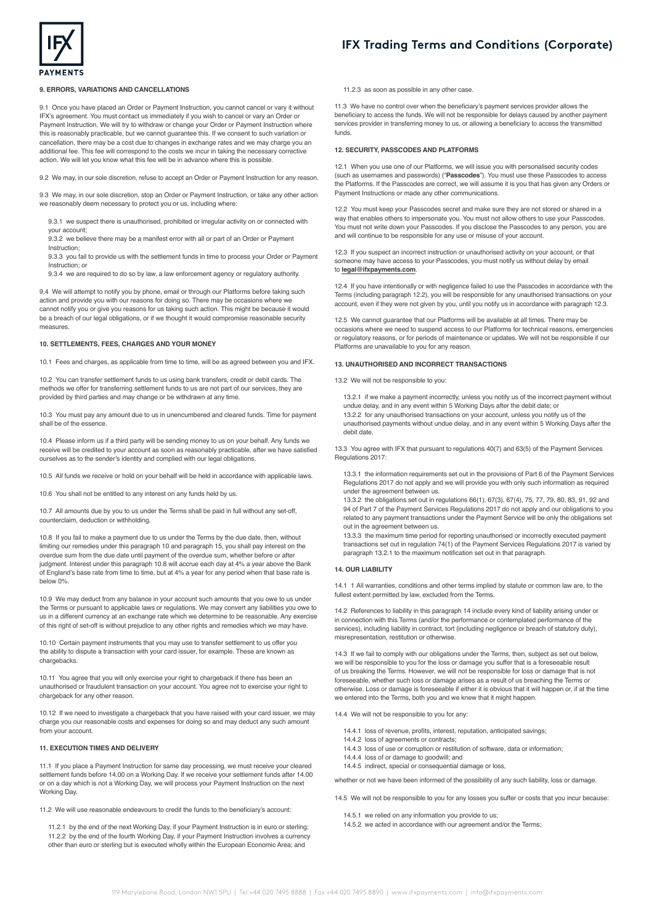



## **9. ERRORS, VARIATIONS AND CANCELLATIONS**

9.1 Once you have placed an Order or Payment Instruction, you cannot cancel or vary it without IFX's agreement. You must contact us immediately if you wish to cancel or vary an Order or Payment Instruction. We will try to withdraw or change your Order or Payment Instruction where this is reasonably practicable, but we cannot guarantee this. If we consent to such variation or cancellation, there may be a cost due to changes in exchange rates and we may charge you an additional fee. This fee will correspond to the costs we incur in taking the necessary corrective action. We will let you know what this fee will be in advance where this is possible.

9.2 We may, in our sole discretion, refuse to accept an Order or Payment Instruction for any reason.

9.3 We may, in our sole discretion, stop an Order or Payment Instruction, or take any other action we reasonably deem necessary to protect you or us, including where:

9.3.1 we suspect there is unauthorised, prohibited or irregular activity on or connected with your account;

9.3.2 we believe there may be a manifest error with all or part of an Order or Payment Instruction;

9.3.3 you fail to provide us with the settlement funds in time to process your Order or Payment Instruction; or

9.3.4 we are required to do so by law, a law enforcement agency or regulatory authority.

9.4 We will attempt to notify you by phone, email or through our Platforms before taking such action and provide you with our reasons for doing so. There may be occasions where we cannot notify you or give you reasons for us taking such action. This might be because it would be a breach of our legal obligations, or if we thought it would compromise reasonable security measures.

#### **10. SETTLEMENTS, FEES, CHARGES AND YOUR MONEY**

10.1 Fees and charges, as applicable from time to time, will be as agreed between you and IFX.

10.2 You can transfer settlement funds to us using bank transfers, credit or debit cards. The methods we offer for transferring settlement funds to us are not part of our services, they are provided by third parties and may change or be withdrawn at any time.

10.3 You must pay any amount due to us in unencumbered and cleared funds. Time for payment shall be of the essence.

10.4 Please inform us if a third party will be sending money to us on your behalf. Any funds we receive will be credited to your account as soon as reasonably practicable, after we have satisfied ourselves as to the sender's identity and complied with our legal obligations.

10.5 All funds we receive or hold on your behalf will be held in accordance with applicable laws.

10.6 You shall not be entitled to any interest on any funds held by us.

10.7 All amounts due by you to us under the Terms shall be paid in full without any set-off, counterclaim, deduction or withholding.

10.8 If you fail to make a payment due to us under the Terms by the due date, then, without limiting our remedies under this paragraph 10 and paragraph 15, you shall pay interest on the overdue sum from the due date until payment of the overdue sum, whether before or after judgment. Interest under this paragraph 10.8 will accrue each day at 4% a year above the Bank of England's base rate from time to time, but at 4% a year for any period when that base rate is below 0%.

10.9 We may deduct from any balance in your account such amounts that you owe to us under the Terms or pursuant to applicable laws or regulations. We may convert any liabilities you owe to us in a different currency at an exchange rate which we determine to be reasonable. Any exercise of this right of set-off is without prejudice to any other rights and remedies which we may have.

10.10 Certain payment instruments that you may use to transfer settlement to us offer you the ability to dispute a transaction with your card issuer, for example. These are known as chargebacks.

10.11 You agree that you will only exercise your right to chargeback if there has been an unauthorised or fraudulent transaction on your account. You agree not to exercise your right to chargeback for any other reason.

10.12 If we need to investigate a chargeback that you have raised with your card issuer, we may charge you our reasonable costs and expenses for doing so and may deduct any such amount from your account.

#### **11. EXECUTION TIMES AND DELIVERY**

11.1 If you place a Payment Instruction for same day processing, we must receive your cleared settlement funds before 14.00 on a Working Day. If we receive your settlement funds after 14.00 or on a day which is not a Working Day, we will process your Payment Instruction on the next Working Day.

11.2 We will use reasonable endeavours to credit the funds to the beneficiary's account:

11.2.1 by the end of the next Working Day, if your Payment Instruction is in euro or sterling; 11.2.2 by the end of the fourth Working Day, if your Payment Instruction involves a currency other than euro or sterling but is executed wholly within the European Economic Area; and

11.2.3 as soon as possible in any other case.

11.3 We have no control over when the beneficiary's payment services provider allows the beneficiary to access the funds. We will not be responsible for delays caused by another payment services provider in transferring money to us, or allowing a beneficiary to access the transmitted funds.

#### **12. SECURITY, PASSCODES AND PLATFORMS**

12.1 When you use one of our Platforms, we will issue you with personalised security codes (such as usernames and passwords) ("**Passcodes**"). You must use these Passcodes to access the Platforms. If the Passcodes are correct, we will assume it is you that has given any Orders or Payment Instructions or made any other communications.

12.2 You must keep your Passcodes secret and make sure they are not stored or shared in a way that enables others to impersonate you. You must not allow others to use your Passcodes. You must not write down your Passcodes. If you disclose the Passcodes to any person, you are and will continue to be responsible for any use or misuse of your account.

12.3 If you suspect an incorrect instruction or unauthorised activity on your account, or that someone may have access to your Passcodes, you must notify us without delay by email to **[legal@ifxpayments.com](mailto:regulatory%40ifxpayments.com?subject=)**.

12.4 If you have intentionally or with negligence failed to use the Passcodes in accordance with the Terms (including paragraph 12.2), you will be responsible for any unauthorised transactions on your account, even if they were not given by you, until you notify us in accordance with paragraph 12.3.

12.5 We cannot guarantee that our Platforms will be available at all times. There may be occasions where we need to suspend access to our Platforms for technical reasons, emergencies or regulatory reasons, or for periods of maintenance or updates. We will not be responsible if our Platforms are unavailable to you for any reason.

#### **13. UNAUTHORISED AND INCORRECT TRANSACTIONS**

13.2 We will not be responsible to you:

13.2.1 if we make a payment incorrectly, unless you notify us of the incorrect payment without undue delay, and in any event within 5 Working Days after the debit date; or

13.2.2 for any unauthorised transactions on your account, unless you notify us of the unauthorised payments without undue delay, and in any event within 5 Working Days after the debit date.

13.3 You agree with IFX that pursuant to regulations 40(7) and 63(5) of the Payment Services Regulations 2017:

13.3.1 the information requirements set out in the provisions of Part 6 of the Payment Services Regulations 2017 do not apply and we will provide you with only such information as required under the agreement between us.

13.3.2 the obligations set out in regulations 66(1), 67(3), 67(4), 75, 77, 79, 80, 83, 91, 92 and 94 of Part 7 of the Payment Services Regulations 2017 do not apply and our obligations to you related to any payment transactions under the Payment Service will be only the obligations set out in the agreement between us.

13.3.3 the maximum time period for reporting unauthorised or incorrectly executed payment transactions set out in regulation 74(1) of the Payment Services Regulations 2017 is varied by paragraph 13.2.1 to the maximum notification set out in that paragraph.

# **14. OUR LIABILITY**

14.1 1 All warranties, conditions and other terms implied by statute or common law are, to the fullest extent permitted by law, excluded from the Terms.

14.2 References to liability in this paragraph 14 include every kind of liability arising under or in connection with this Terms (and/or the performance or contemplated performance of the services), including liability in contract, tort (including negligence or breach of statutory duty), misrepresentation, restitution or otherwise.

14.3 If we fail to comply with our obligations under the Terms, then, subject as set out below, we will be responsible to you for the loss or damage you suffer that is a foreseeable result of us breaking the Terms. However, we will not be responsible for loss or damage that is not foreseeable, whether such loss or damage arises as a result of us breaching the Terms or otherwise. Loss or damage is foreseeable if either it is obvious that it will happen or, if at the time we entered into the Terms, both you and we knew that it might happen.

14.4 We will not be responsible to you for any

- 14.4.1 loss of revenue, profits, interest, reputation, anticipated savings;
- 14.4.2 loss of agreements or contracts;
	- 14.4.3 loss of use or corruption or restitution of software, data or information;
	- 14.4.4 loss of or damage to goodwill; and
	- 14.4.5 indirect, special or consequential damage or loss,

whether or not we have been informed of the possibility of any such liability, loss or damage.

14.5 We will not be responsible to you for any losses you suffer or costs that you incur because:

- 14.5.1 we relied on any information you provide to us;
- 14.5.2 we acted in accordance with our agreement and/or the Terms;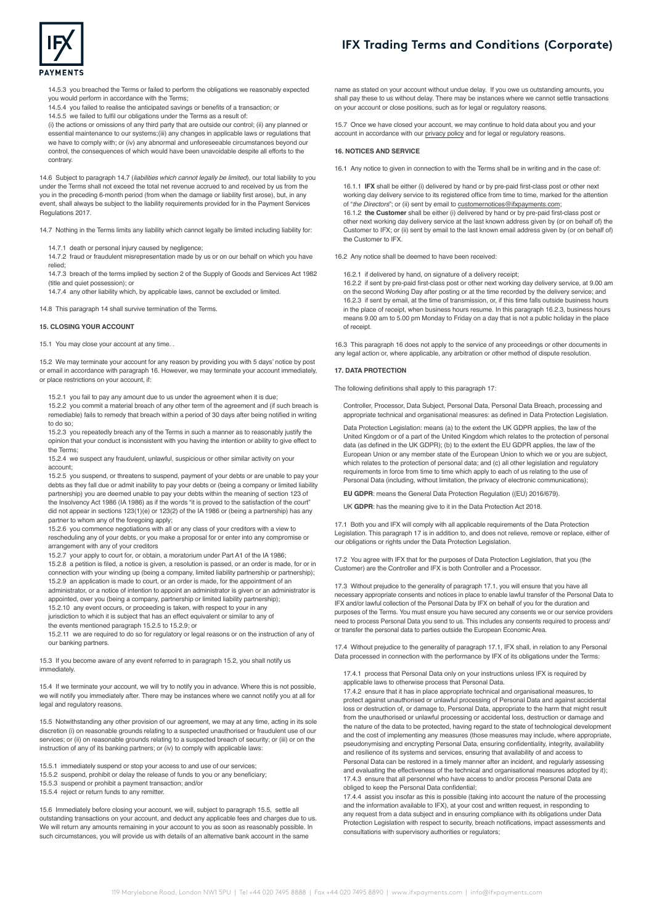



14.5.3 you breached the Terms or failed to perform the obligations we reasonably expected you would perform in accordance with the Terms;

14.5.4 you failed to realise the anticipated savings or benefits of a transaction; or 14.5.5 we failed to fulfil our obligations under the Terms as a result of:

(i) the actions or omissions of any third party that are outside our control; (ii) any planned or essential maintenance to our systems;(iii) any changes in applicable laws or regulations that we have to comply with; or (iv) any abnormal and unforeseeable circumstances beyond our

control, the consequences of which would have been unavoidable despite all efforts to the contrary.

14.6 Subject to paragraph 14.7 (*liabilities which cannot legally be limited*), our total liability to you under the Terms shall not exceed the total net revenue accrued to and received by us from the you in the preceding 6-month period (from when the damage or liability first arose), but, in any event, shall always be subject to the liability requirements provided for in the Payment Services Regulations 2017.

14.7 Nothing in the Terms limits any liability which cannot legally be limited including liability for:

14.7.1 death or personal injury caused by negligence;

14.7.2 fraud or fraudulent misrepresentation made by us or on our behalf on which you have relied;

14.7.3 breach of the terms implied by section 2 of the Supply of Goods and Services Act 1982 (title and quiet possession); or

14.7.4 any other liability which, by applicable laws, cannot be excluded or limited.

14.8 This paragraph 14 shall survive termination of the Terms.

#### **15. CLOSING YOUR ACCOUNT**

15.1 You may close your account at any time. .

15.2 We may terminate your account for any reason by providing you with 5 days' notice by post or email in accordance with paragraph 16. However, we may terminate your account immediately, or place restrictions on your account, if:

15.2.1 you fail to pay any amount due to us under the agreement when it is due;

15.2.2 you commit a material breach of any other term of the agreement and (if such breach is remediable) fails to remedy that breach within a period of 30 days after being notified in writing to do so;

15.2.3 you repeatedly breach any of the Terms in such a manner as to reasonably justify the opinion that your conduct is inconsistent with you having the intention or ability to give effect to the Terms;

15.2.4 we suspect any fraudulent, unlawful, suspicious or other similar activity on your account;

15.2.5 you suspend, or threatens to suspend, payment of your debts or are unable to pay your debts as they fall due or admit inability to pay your debts or (being a company or limited liability partnership) you are deemed unable to pay your debts within the meaning of section 123 of the Insolvency Act 1986 (IA 1986) as if the words "it is proved to the satisfaction of the court" did not appear in sections 123(1)(e) or 123(2) of the IA 1986 or (being a partnership) has any partner to whom any of the foregoing apply;

15.2.6 you commence negotiations with all or any class of your creditors with a view to rescheduling any of your debts, or you make a proposal for or enter into any compromise or arrangement with any of your creditors

15.2.7 your apply to court for, or obtain, a moratorium under Part A1 of the IA 1986; 15.2.8 a petition is filed, a notice is given, a resolution is passed, or an order is made, for or in connection with your winding up (being a company, limited liability partnership or partnership);

15.2.9 an application is made to court, or an order is made, for the appointment of an administrator, or a notice of intention to appoint an administrator is given or an administrator is

appointed, over you (being a company, partnership or limited liability partnership); 15.2.10 any event occurs, or proceeding is taken, with respect to your in any

jurisdiction to which it is subject that has an effect equivalent or similar to any of

the events mentioned paragraph 15.2.5 to 15.2.9; or

15.2.11 we are required to do so for regulatory or legal reasons or on the instruction of any of our banking partners.

15.3 If you become aware of any event referred to in paragraph 15.2, you shall notify us immediately

15.4 If we terminate your account, we will try to notify you in advance. Where this is not possible, we will notify you immediately after. There may be instances where we cannot notify you at all for legal and regulatory reasons.

15.5 Notwithstanding any other provision of our agreement, we may at any time, acting in its sole discretion (i) on reasonable grounds relating to a suspected unauthorised or fraudulent use of our services; or (ii) on reasonable grounds relating to a suspected breach of security; or (iii) or on the instruction of any of its banking partners; or (iv) to comply with applicable laws

- 15.5.1 immediately suspend or stop your access to and use of our services;
- 15.5.2 suspend, prohibit or delay the release of funds to you or any beneficiary; 15.5.3 suspend or prohibit a payment transaction; and/or

15.5.4 reject or return funds to any remitter.

15.6 Immediately before closing your account, we will, subject to paragraph 15.5, settle all outstanding transactions on your account, and deduct any applicable fees and charges due to us. We will return any amounts remaining in your account to you as soon as reasonably possible. In such circumstances, you will provide us with details of an alternative bank account in the same

name as stated on your account without undue delay. If you owe us outstanding amounts, you shall pay these to us without delay. There may be instances where we cannot settle transactions on your account or close positions, such as for legal or regulatory reasons.

15.7 Once we have closed your account, we may continue to hold data about you and your account in accordance with our [privacy policy](https://www.ifxpayments.com/privacy/) and for legal or regulatory reasons.

### **16. NOTICES AND SERVICE**

16.1 Any notice to given in connection to with the Terms shall be in writing and in the case of:

16.1.1 **IFX** shall be either (i) delivered by hand or by pre-paid first-class post or other next working day delivery service to its registered office from time to time, marked for the attention of "*the Directors*"; or (ii) sent by email to [customernotices@ifxpayments.com;](mailto:customernotices%40ifxpayments.com?subject=) 16.1.2 **the Customer** shall be either (i) delivered by hand or by pre-paid first-class post or other next working day delivery service at the last known address given by (or on behalf of) the Customer to IFX; or (ii) sent by email to the last known email address given by (or on behalf of) the Customer to IFX.

16.2 Any notice shall be deemed to have been received:

16.2.1 if delivered by hand, on signature of a delivery receipt;

16.2.2 if sent by pre-paid first-class post or other next working day delivery service, at 9.00 am on the second Working Day after posting or at the time recorded by the delivery service; and 16.2.3 if sent by email, at the time of transmission, or, if this time falls outside business hours in the place of receipt, when business hours resume. In this paragraph 16.2.3, business hours means 9.00 am to 5.00 pm Monday to Friday on a day that is not a public holiday in the place of receipt.

16.3 This paragraph 16 does not apply to the service of any proceedings or other documents in any legal action or, where applicable, any arbitration or other method of dispute resolution.

#### **17. DATA PROTECTION**

The following definitions shall apply to this paragraph 17:

Controller, Processor, Data Subject, Personal Data, Personal Data Breach, processing and appropriate technical and organisational measures: as defined in Data Protection Legislation.

Data Protection Legislation: means (a) to the extent the UK GDPR applies, the law of the United Kingdom or of a part of the United Kingdom which relates to the protection of personal data (as defined in the UK GDPR); (b) to the extent the EU GDPR applies, the law of the European Union or any member state of the European Union to which we or you are subject, which relates to the protection of personal data; and (c) all other legislation and regulatory requirements in force from time to time which apply to each of us relating to the use of Personal Data (including, without limitation, the privacy of electronic communications);

**EU GDPR**: means the General Data Protection Regulation ((EU) 2016/679).

UK **GDPR**: has the meaning give to it in the Data Protection Act 2018.

17.1 Both you and IFX will comply with all applicable requirements of the Data Protection Legislation. This paragraph 17 is in addition to, and does not relieve, remove or replace, either of our obligations or rights under the Data Protection Legislation.

17.2 You agree with IFX that for the purposes of Data Protection Legislation, that you (the Customer) are the Controller and IFX is both Controller and a Processor.

17.3 Without prejudice to the generality of paragraph 17.1, you will ensure that you have all necessary appropriate consents and notices in place to enable lawful transfer of the Personal Data to IFX and/or lawful collection of the Personal Data by IFX on behalf of you for the duration and purposes of the Terms. You must ensure you have secured any consents we or our service providers need to process Personal Data you send to us. This includes any consents required to process and/ or transfer the personal data to parties outside the European Economic Area.

17.4 Without prejudice to the generality of paragraph 17.1, IFX shall, in relation to any Personal Data processed in connection with the performance by IFX of its obligations under the Terms:

17.4.1 process that Personal Data only on your instructions unless IFX is required by applicable laws to otherwise process that Personal Data.

17.4.2 ensure that it has in place appropriate technical and organisational measures, to protect against unauthorised or unlawful processing of Personal Data and against accidental loss or destruction of, or damage to, Personal Data, appropriate to the harm that might result from the unauthorised or unlawful processing or accidental loss, destruction or damage and the nature of the data to be protected, having regard to the state of technological development and the cost of implementing any measures (those measures may include, where appropriate, pseudonymising and encrypting Personal Data, ensuring confidentiality, integrity, availability and resilience of its systems and services, ensuring that availability of and access to Personal Data can be restored in a timely manner after an incident, and regularly assessing and evaluating the effectiveness of the technical and organisational measures adopted by it); 17.4.3 ensure that all personnel who have access to and/or process Personal Data are obliged to keep the Personal Data confidential;

17.4.4 assist you insofar as this is possible (taking into account the nature of the processing and the information available to IFX), at your cost and written request, in responding to any request from a data subject and in ensuring compliance with its obligations under Data Protection Legislation with respect to security, breach notifications, impact assessments and consultations with supervisory authorities or regulators;